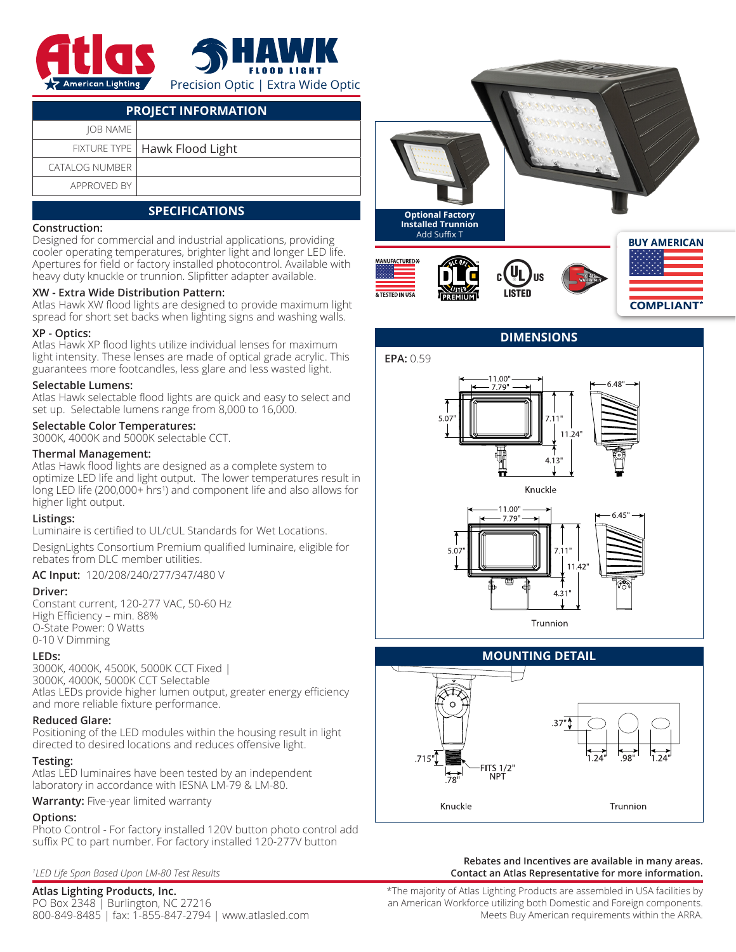

| <b>PROJECT INFORMATION</b> |                                 |  |  |  |  |
|----------------------------|---------------------------------|--|--|--|--|
| <b>IOB NAME</b>            |                                 |  |  |  |  |
|                            | FIXTURE TYPE   Hawk Flood Light |  |  |  |  |
| CATALOG NUMBER             |                                 |  |  |  |  |
| APPROVED BY                |                                 |  |  |  |  |

# **SPECIFICATIONS**

#### **Construction:**

Designed for commercial and industrial applications, providing cooler operating temperatures, brighter light and longer LED life. Apertures for field or factory installed photocontrol. Available with heavy duty knuckle or trunnion. Slipfitter adapter available.

## **XW - Extra Wide Distribution Pattern:**

Atlas Hawk XW flood lights are designed to provide maximum light spread for short set backs when lighting signs and washing walls.

#### **XP - Optics:**

Atlas Hawk XP flood lights utilize individual lenses for maximum light intensity. These lenses are made of optical grade acrylic. This guarantees more footcandles, less glare and less wasted light.

#### **Selectable Lumens:**

Atlas Hawk selectable flood lights are quick and easy to select and set up. Selectable lumens range from 8,000 to 16,000.

#### **Selectable Color Temperatures:**

3000K, 4000K and 5000K selectable CCT.

#### **Thermal Management:**

Atlas Hawk flood lights are designed as a complete system to optimize LED life and light output. The lower temperatures result in long LED life (200,000+ hrs1 ) and component life and also allows for higher light output.

## **Listings:**

Luminaire is certified to UL/cUL Standards for Wet Locations.

DesignLights Consortium Premium qualified luminaire, eligible for rebates from DLC member utilities.

## **AC Input:** 120/208/240/277/347/480 V

#### **Driver:**

Constant current, 120-277 VAC, 50-60 Hz High Efficiency – min. 88% O-State Power: 0 Watts 0-10 V Dimming

## **LEDs:**

3000K, 4000K, 4500K, 5000K CCT Fixed | 3000K, 4000K, 5000K CCT Selectable Atlas LEDs provide higher lumen output, greater energy efficiency and more reliable fixture performance.

#### **Reduced Glare:**

Positioning of the LED modules within the housing result in light directed to desired locations and reduces offensive light.

## **Testing:**

Atlas LED luminaires have been tested by an independent laboratory in accordance with IESNA LM-79 & LM-80.

**Warranty:** Five-year limited warranty

## **Options:**

Photo Control - For factory installed 120V button photo control add suffix PC to part number. For factory installed 120-277V button

*1 LED Life Span Based Upon LM-80 Test Results*

# **Atlas Lighting Products, Inc.**

PO Box 2348 | Burlington, NC 27216 800-849-8485 | fax: 1-855-847-2794 | www.atlasled.com



# **DIMENSIONS**







#### **Rebates and Incentives are available in many areas. Contact an Atlas Representative for more information.**

\*The majority of Atlas Lighting Products are assembled in USA facilities by an American Workforce utilizing both Domestic and Foreign components. Meets Buy American requirements within the ARRA.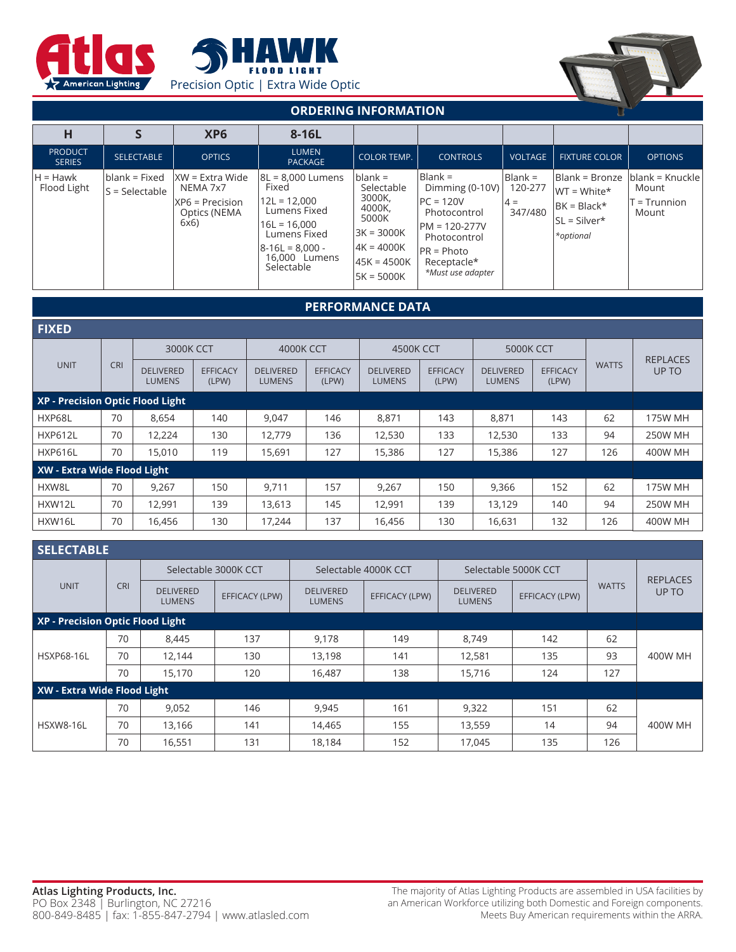





# **ORDERING INFORMATION**

|                                 |                                   | XP <sub>6</sub>                                                               | 8-16L                                                                                                                                               |                                                                                                                  |                                                                                                                                                    |                                          |                                                                                  |                                                     |
|---------------------------------|-----------------------------------|-------------------------------------------------------------------------------|-----------------------------------------------------------------------------------------------------------------------------------------------------|------------------------------------------------------------------------------------------------------------------|----------------------------------------------------------------------------------------------------------------------------------------------------|------------------------------------------|----------------------------------------------------------------------------------|-----------------------------------------------------|
| <b>PRODUCT</b><br><b>SERIES</b> | <b>SELECTABLE</b>                 | <b>OPTICS</b>                                                                 | <b>LUMEN</b><br><b>PACKAGE</b>                                                                                                                      | <b>COLOR TEMP.</b>                                                                                               | <b>CONTROLS</b>                                                                                                                                    | <b>VOLTAGE</b>                           | <b>FIXTURE COLOR</b>                                                             | <b>OPTIONS</b>                                      |
| $H = Hawk$<br>Flood Light       | blank = Fixed<br>$S = Selectable$ | $ XW $ = Extra Wide<br>NEMA 7x7<br>$ XP6 = Precision$<br>Optics (NEMA<br>6x6) | 8L = 8.000 Lumens<br>Fixed<br>$12L = 12,000$<br>Lumens Fixed<br>$16L = 16,000$<br>Lumens Fixed<br>$ 8-16L = 8,000 -$<br>16,000 Lumens<br>Selectable | $blank =$<br>Selectable<br>3000K,<br>4000K,<br>5000K<br>$3K = 3000K$<br> 4K = 4000K<br>45K = 4500K<br>5K = 5000K | Blank =<br>Dimming $(0-10V)$<br>$PC = 120V$<br>Photocontrol<br>$PM = 120-277V$<br>Photocontrol<br>$PR = Photo$<br>Receptacle*<br>*Must use adapter | $Blank =$<br>120-277<br>$4 =$<br>347/480 | Blank = Bronze<br>$WT = White*$<br>$BK = Black*$<br>$SL = Silver^*$<br>*optional | blank = Knuckle<br>Mount<br>$T = Trunnion$<br>Mount |

#### **PERFORMANCE DATA FIXED** UNIT | CRI 3000K CCT  $\begin{array}{|c|c|c|c|c|c|} \hline \end{array}$  4000K CCT 4500K CCT  $\begin{array}{|c|c|c|c|c|c|c|c|} \hline \end{array}$  5000K CCT WATTS REPLACES DELIVERED | EFFICACY | DELIVERED | EFFICACY | DELIVERED | EFFICACY | DELIVERED | EFFICACY | '''''' | UP TO LUMENS EFFICACY (LPW) DELIVERED LUMENS EFFICACY (LPW) DELIVERED LUMENS EFFICACY (LPW) DELIVERED LUMENS EFFICACY (LPW) **XP - Precision Optic Flood Light** HXP68L | 70 | 8,654 | 140 | 9,047 | 146 | 8,871 | 143 | 8,871 | 143 | 62 | 175W $\,$ MH HXP612L | 70 | 12,224 | 130 | 12,779 | 136 | 12,530 | 133 | 12,530 | 133 | 94 | 250W MH HXP616L | 70 | 15,010 | 119 | 15,691 | 127 | 15,386 | 127 | 15,386 | 127 | 126 | 400W MH **XW - Extra Wide Flood Light** HXW8L | 70 | 9,267 | 150 | 9,711 | 157 | 9,267 | 150 | 9,366 | 152 | 62 | 175W $\,$ MH $\,$ HXW12L | 70 | 12,991 | 139 | 13,613 | 145 | 12,991 | 139 | 13,129 | 140 | 94 | 250W MH HXW16L | 70 | 16,456 | 130 | 17,244 | 137 | 16,456 | 130 | 16,631 | 132 | 126 | 400W MH

| <b>SELECTABLE</b>                |            |                                   |                |                                   |                      |                                   |                |              |                 |
|----------------------------------|------------|-----------------------------------|----------------|-----------------------------------|----------------------|-----------------------------------|----------------|--------------|-----------------|
| <b>UNIT</b>                      | <b>CRI</b> | Selectable 3000K CCT              |                |                                   | Selectable 4000K CCT | Selectable 5000K CCT              |                |              | <b>REPLACES</b> |
|                                  |            | <b>DELIVERED</b><br><b>LUMENS</b> | EFFICACY (LPW) | <b>DELIVERED</b><br><b>LUMENS</b> | EFFICACY (LPW)       | <b>DELIVERED</b><br><b>LUMENS</b> | EFFICACY (LPW) | <b>WATTS</b> | UP TO           |
| XP - Precision Optic Flood Light |            |                                   |                |                                   |                      |                                   |                |              |                 |
| <b>HSXP68-16L</b>                | 70         | 8,445                             | 137            | 9,178                             | 149                  | 8.749                             | 142            | 62           |                 |
|                                  | 70         | 12,144                            | 130            | 13,198                            | 141                  | 12,581                            | 135            | 93           | 400W MH         |
|                                  | 70         | 15,170                            | 120            | 16,487                            | 138                  | 15,716                            | 124            | 127          |                 |
| XW - Extra Wide Flood Light      |            |                                   |                |                                   |                      |                                   |                |              |                 |
| HSXW8-16L                        | 70         | 9,052                             | 146            | 9,945                             | 161                  | 9,322                             | 151            | 62           |                 |
|                                  | 70         | 13,166                            | 141            | 14,465                            | 155                  | 13,559                            | 14             | 94           | 400W MH         |
|                                  | 70         | 16,551                            | 131            | 18,184                            | 152                  | 17,045                            | 135            | 126          |                 |